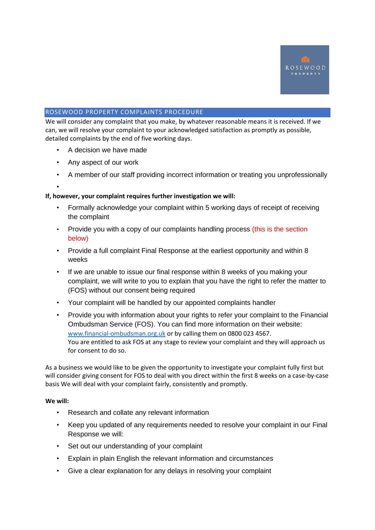

### ROSEWOOD PROPERTY COMPLAINTS PROCEDURE

We will consider any complaint that you make, by whatever reasonable means it is received. If we can, we will resolve your complaint to your acknowledged satisfaction as promptly as possible, detailed complaints by the end of five working days.

- A decision we have made
- Any aspect of our work
- A member of our staff providing incorrect information or treating you unprofessionally
- •

## **If, however, your complaint requires further investigation we will:**

- Formally acknowledge your complaint within 5 working days of receipt of receiving the complaint
- Provide you with a copy of our complaints handling process (this is the section below)
- Provide a full complaint Final Response at the earliest opportunity and within 8 weeks
- If we are unable to issue our final response within 8 weeks of you making your complaint, we will write to you to explain that you have the right to refer the matter to (FOS) without our consent being required
- Your complaint will be handled by our appointed complaints handler
- Provide you with information about your rights to refer your complaint to the Financial Ombudsman Service (FOS). You can find more information on their website: [www.financial-ombudsman.org.uk](http://www.financial-ombudsman.org.uk/) or by calling them on 0800 023 4567. You are entitled to ask FOS at any stage to review your complaint and they will approach us for consent to do so.

As a business we would like to be given the opportunity to investigate your complaint fully first but will consider giving consent for FOS to deal with you direct within the first 8 weeks on a case-by-case basis We will deal with your complaint fairly, consistently and promptly.

### **We will:**

- Research and collate any relevant information
- Keep you updated of any requirements needed to resolve your complaint in our Final Response we will:
- Set out our understanding of your complaint
- Explain in plain English the relevant information and circumstances
- Give a clear explanation for any delays in resolving your complaint